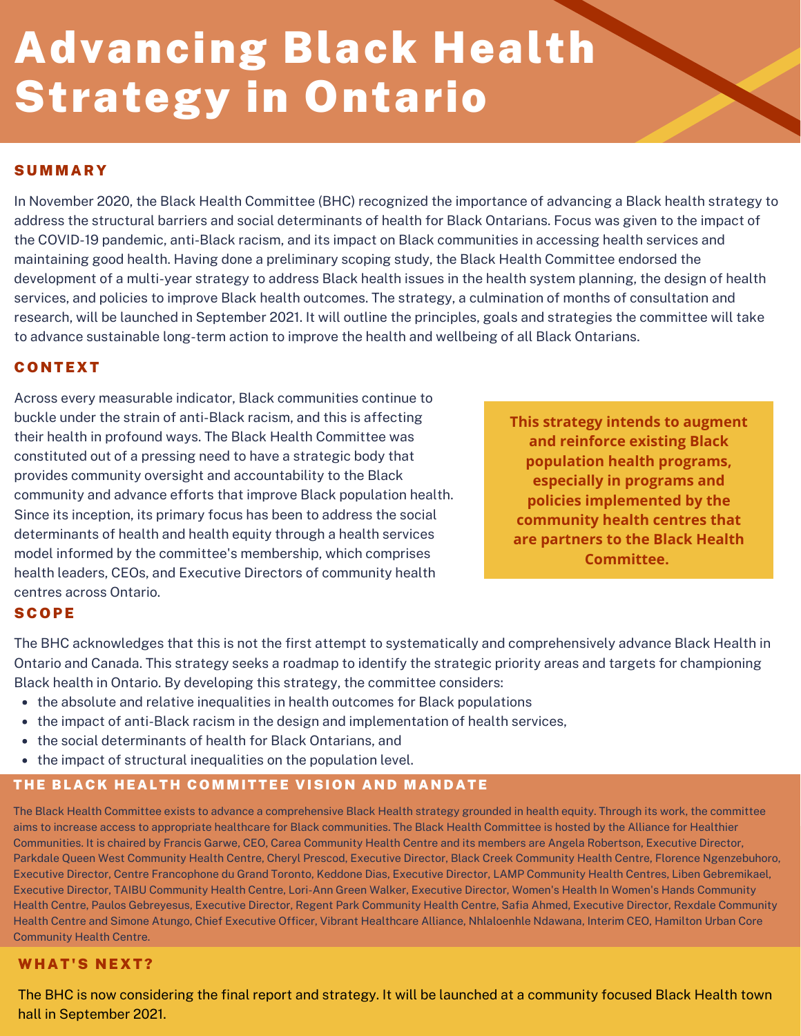# Advancing Black Health Strategy in Ontario

## **SUMMARY**

In November 2020, the Black Health Committee (BHC) recognized the importance of advancing a Black health strategy to address the structural barriers and social determinants of health for Black Ontarians. Focus was given to the impact of the COVID-19 pandemic, anti-Black racism, and its impact on Black communities in accessing health services and maintaining good health. Having done a preliminary scoping study, the Black Health Committee endorsed the development of a multi-year strategy to address Black health issues in the health system planning, the design of health services, and policies to improve Black health outcomes. The strategy, a culmination of months of consultation and research, will be launched in September 2021. It will outline the principles, goals and strategies the committee will take to advance sustainable long-term action to improve the health and wellbeing of all Black Ontarians.

## **CONTEXT**

Across every measurable indicator, Black communities continue to buckle under the strain of anti-Black racism, and this is affecting their health in profound ways. The Black Health Committee was constituted out of a pressing need to have a strategic body that provides community oversight and accountability to the Black community and advance efforts that improve Black population health. Since its inception, its primary focus has been to address the social determinants of health and health equity through a health services model informed by the committee's membership, which comprises health leaders, CEOs, and Executive Directors of community health centres across Ontario.

**This strategy intends to augment and reinforce existing Black population health programs, especially in programs and policies implemented by the community health centres that are partners to the Black Health Committee.**

## **SCOPE**

The BHC acknowledges that this is not the first attempt to systematically and comprehensively advance Black Health in Ontario and Canada. This strategy seeks a roadmap to identify the strategic priority areas and targets for championing Black health in Ontario. By developing this strategy, the committee considers:

- the absolute and relative inequalities in health outcomes for Black populations
- the impact of anti-Black racism in the design and implementation of health services,
- the social determinants of health for Black Ontarians, and
- the impact of structural inequalities on the population level.

# THE BLACK HEALTH COMMITTEE VISION AND MANDATE

The Black Health Committee exists to advance a comprehensive Black Health strategy grounded in health equity. Through its work, the committee aims to increase access to appropriate healthcare for Black communities. The Black Health Committee is hosted by the Alliance for Healthier Communities. It is chaired by Francis Garwe, CEO, Carea Community Health Centre and its members are Angela Robertson, Executive Director, Parkdale Queen West Community Health Centre, Cheryl Prescod, Executive Director, Black Creek Community Health Centre, Florence Ngenzebuhoro, Executive Director, Centre Francophone du Grand Toronto, Keddone Dias, Executive Director, LAMP Community Health Centres, Liben Gebremikael, Executive Director, TAIBU Community Health Centre, Lori-Ann Green Walker, Executive Director, Women's Health In Women's Hands Community Health Centre, Paulos Gebreyesus, Executive Director, Regent Park Community Health Centre, Safia Ahmed, Executive Director, Rexdale Community Health Centre and Simone Atungo, Chief Executive Officer, Vibrant Healthcare Alliance, Nhlaloenhle Ndawana, Interim CEO, Hamilton Urban Core Community Health Centre.

# WHAT'S NEXT?

The BHC is now considering the final report and strategy. It will be launched at a community focused Black Health town hall in September 2021.